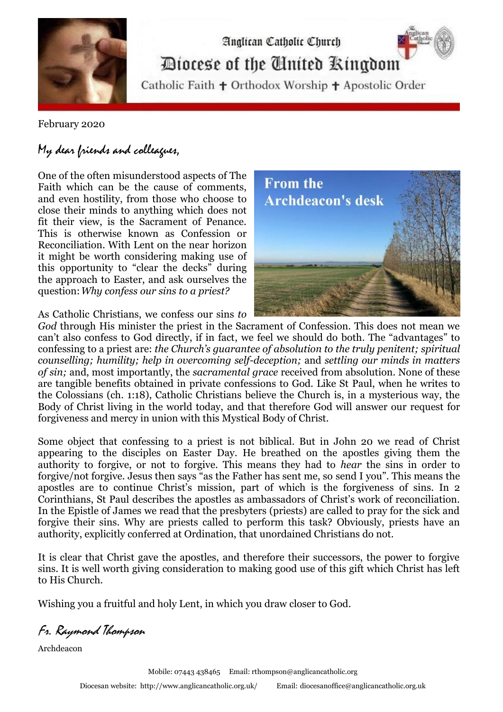

Analican Catholic Church Diocese of the Cinited Ringdom

Catholic Faith + Orthodox Worship + Apostolic Order

February 2020

## My dear friends and colleagues,

One of the often misunderstood aspects of The Faith which can be the cause of comments, and even hostility, from those who choose to close their minds to anything which does not fit their view, is the Sacrament of Penance. This is otherwise known as Confession or Reconciliation. With Lent on the near horizon it might be worth considering making use of this opportunity to "clear the decks" during the approach to Easter, and ask ourselves the question:*Why confess our sins to a priest?* 



As Catholic Christians, we confess our sins *to* 

*God* through His minister the priest in the Sacrament of Confession. This does not mean we can't also confess to God directly, if in fact, we feel we should do both. The "advantages" to confessing to a priest are: *the Church's guarantee of absolution to the truly penitent; spiritual counselling; humility; help in overcoming self-deception;* and *settling our minds in matters of sin;* and, most importantly, the *sacramental grace* received from absolution. None of these are tangible benefits obtained in private confessions to God. Like St Paul, when he writes to the Colossians (ch. 1:18), Catholic Christians believe the Church is, in a mysterious way, the Body of Christ living in the world today, and that therefore God will answer our request for forgiveness and mercy in union with this Mystical Body of Christ.

Some object that confessing to a priest is not biblical. But in John 20 we read of Christ appearing to the disciples on Easter Day. He breathed on the apostles giving them the authority to forgive, or not to forgive. This means they had to *hear* the sins in order to forgive/not forgive. Jesus then says "as the Father has sent me, so send I you". This means the apostles are to continue Christ's mission, part of which is the forgiveness of sins. In 2 Corinthians, St Paul describes the apostles as ambassadors of Christ's work of reconciliation. In the Epistle of James we read that the presbyters (priests) are called to pray for the sick and forgive their sins. Why are priests called to perform this task? Obviously, priests have an authority, explicitly conferred at Ordination, that unordained Christians do not.

It is clear that Christ gave the apostles, and therefore their successors, the power to forgive sins. It is well worth giving consideration to making good use of this gift which Christ has left to His Church.

Wishing you a fruitful and holy Lent, in which you draw closer to God.

Fr. Raymond Thompson

Archdeacon